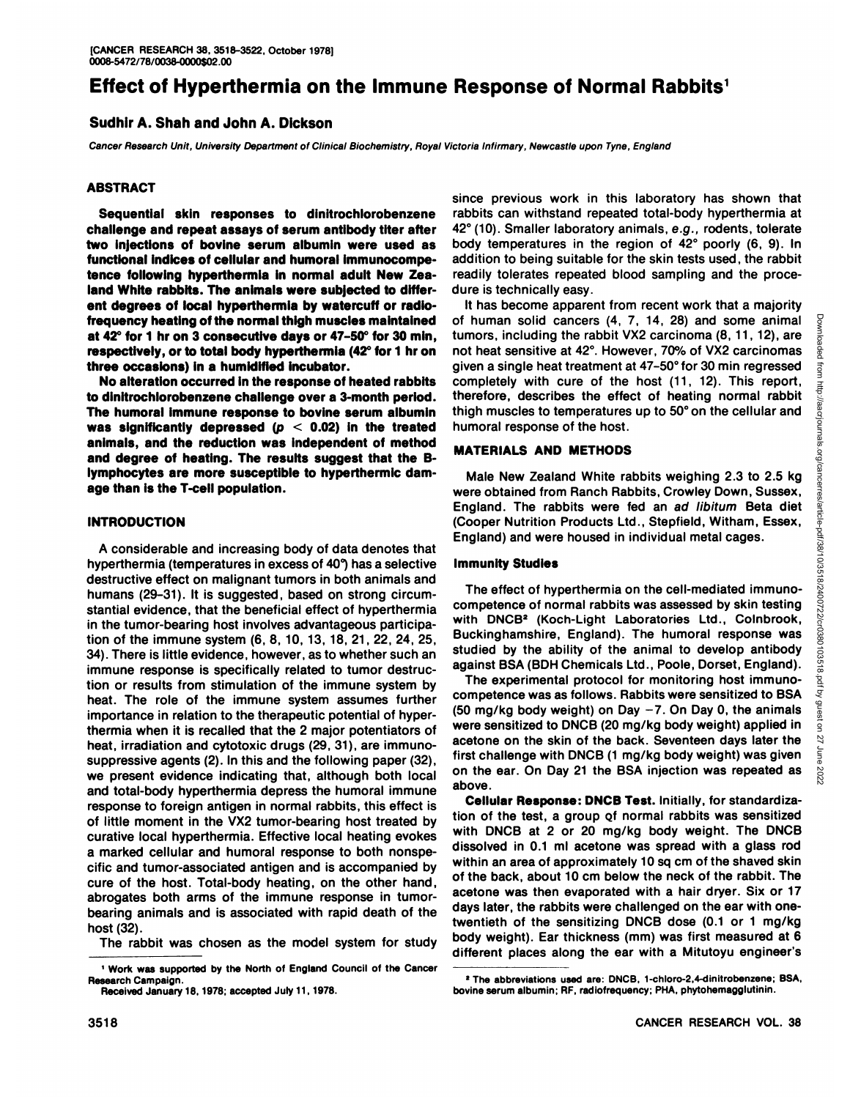# **Effect of Hyperthermia on the Immune Response of Normal Rabbits1**

# Sudhir A. Shah and John A. Dickson

Cancer Research Unit, University Department of Clinical Biochemistry, Royal Victoria Infirmary, Newcastle upon Tyne, England

# **ABSTRACT**

**Sequential skin responses to dinitrochlorobenzene challenge and repeat assays of serum antibody titer after two injections of bovine serum albumin were used as functional indices of cellular and humoral immunocompetence following hyperthermia in normal adult New Zea land White rabbits. The animals were subjected to differ ent degrees of local hyperthermia by watercuff or radiofrequency heating of the normal thigh muscles maintained at 42°for 1 hron 3 consecutive days or 47-50°for 30 min, respectively, or to total body hyperthermia (42°for 1 hron three occasions) in a humidified incubator.**

**No alteration occurred in the response of heated rabbits to dinitrochlorobenzene challenge over a 3-month period. The humoral immune response to bovine serum albumin was significantly depressed (p < 0.02) in the treated animals, and the reduction was independent of method and degree of heating. The results suggest that the Blymphocytes are more susceptible to hyperthermic dam age than is the T-cell population.**

# **INTRODUCTION**

<sup>A</sup> considerable and increasing body of data denotes that hyperthermia (temperatures in excess of 40°)has <sup>a</sup> selective destructive effect on malignant tumors in both animals and humans (29-31). It is suggested, based on strong circum stantial evidence, that the beneficial effect of hyperthermia competence of normal rapplits was assessed by skin testing<br>in the tumer begring best involves advantageous participa, with DNCB<sup>2</sup> (Koch-Light Laboratories Ltd. in the tumor-bearing host involves advantageous participa tion of the immune system (6, 8, 10, 13, 18, 21, 22, 24, 25, 34). There is little evidence, however, as to whether such an immune response is specifically related to tumor destruc tion or results from stimulation of the immune system by heat. The role of the immune system assumes further importance in relation to the therapeutic potential of hyper thermia when it is recalled that the 2 major potentiators of heat, irradiation and cytotoxic drugs (29, 31), are immunosuppressive agents (2). In this and the following paper (32), we present evidence indicating that, although both local and total-body hyperthermia depress the humoral immune response to foreign antigen in normal rabbits, this effect is of little moment in the VX2 tumor-bearing host treated by curative local hyperthermia. Effective local heating evokes a marked cellular and humoral response to both nonspe cific and tumor-associated antigen and is accompanied by cure of the host. Total-body heating, on the other hand, abrogates both arms of the immune response in tumorbearing animals and is associated with rapid death of the host (32).

The rabbit was chosen as the model system for study

since previous work in this laboratory has shown that rabbits can withstand repeated total-body hyperthermia at 42°(10). Smaller laboratory animals, e.g., rodents, tolerate body temperatures in the region of 42° poorly (6, 9). In addition to being suitable for the skin tests used, the rabbit readily tolerates repeated blood sampling and the proce dure is technically easy.

It has become apparent from recent work that a majority of human solid cancers (4, 7, 14, 28) and some animal g<br>tumors, including the rabbit VX2 carcinoma (8, 11, 12), are<br>not heat sensitive at 42°. However, 70% of VX2 carcinomas tumors, including the rabbit VX2 carcinoma (8, 11, 12), are not heat sensitive at 42°. However, 70% of VX2 carcinomas given a single heat treatment at 47-50° for 30 min regressed  $\frac{1}{3}$ therefore, describes the effect of heating normal rabbit thigh muscles to temperatures up to 50°on the cellular and humoral response of the host.

# **MATERIALS AND METHODS**

Male New Zealand White rabbits weighing 2.3 to 2.5 kg were obtained from Ranch Rabbits, Crowley Down, Sussex, England. The rabbits were fed an ad libitum Beta diet (Cooper Nutrition Products Ltd., Stepfield, Witham, Essex, England) and were housed in individual metal cages.

# **Immunity Studies**

The effect of hyperthermia on the cell-mediated immunocompetence of normal rabbits was assessed by skin testing Buckinghamshire, England). The humoral response was studied by the ability of the animal to develop antibody against BSA (BDH Chemicals Ltd., Poole, Dorset, England).

completely with cure of the host  $(11, 12)$ . This report,<br>therefore, describes the effect of heating normal rabbit<br>thigh muscles to temperatures up to 50° on the cellular and<br>humoral response of the host.<br>MATERIALS AND ME The experimental protocol for monitoring host immunocompetence was as follows. Rabbits were sensitized to BSA (50 mg/kg body weight) on Day  $-7$ . On Day 0, the animals were sensitized to DNCB (20 mg/kg body weight) applied in acetone on the skin of the back. Seventeen days later the first challenge with DNCB (1 mg/kg body weight) was given on the ear. On Day 21 the BSA injection was repeated as  $\sum_{N=1}^{10}$ above.

**Cellular Response: DNCB Test. Initially, for standardiza** tion of the test, a group of normal rabbits was sensitized with DNCB at 2 or 20 mg/kg body weight. The DNCB dissolved in 0.1 ml acetone was spread with a glass rod within an area of approximately 10 sq cm of the shaved skin of the back, about 10 cm below the neck of the rabbit. The acetone was then evaporated with a hair dryer. Six or 17 days later, the rabbits were challenged on the ear with onetwentieth of the sensitizing DNCB dose (0.1 or 1 mg/kg body weight). Ear thickness (mm) was first measured at 6 different places along the ear with a Mitutoyu engineer's

<sup>1</sup>Work was supported by the North of England Council of the Cancer Research Campaign.

Received January 18, 1978; accepted July 11. 1978.

<sup>&#</sup>x27;The abbreviations used are:DNCB, 1-chloro-2,4-dinitrobenzene; BSA, bovine serum albumin; RF, radiofrequency; PHA, phytohemagglutinin.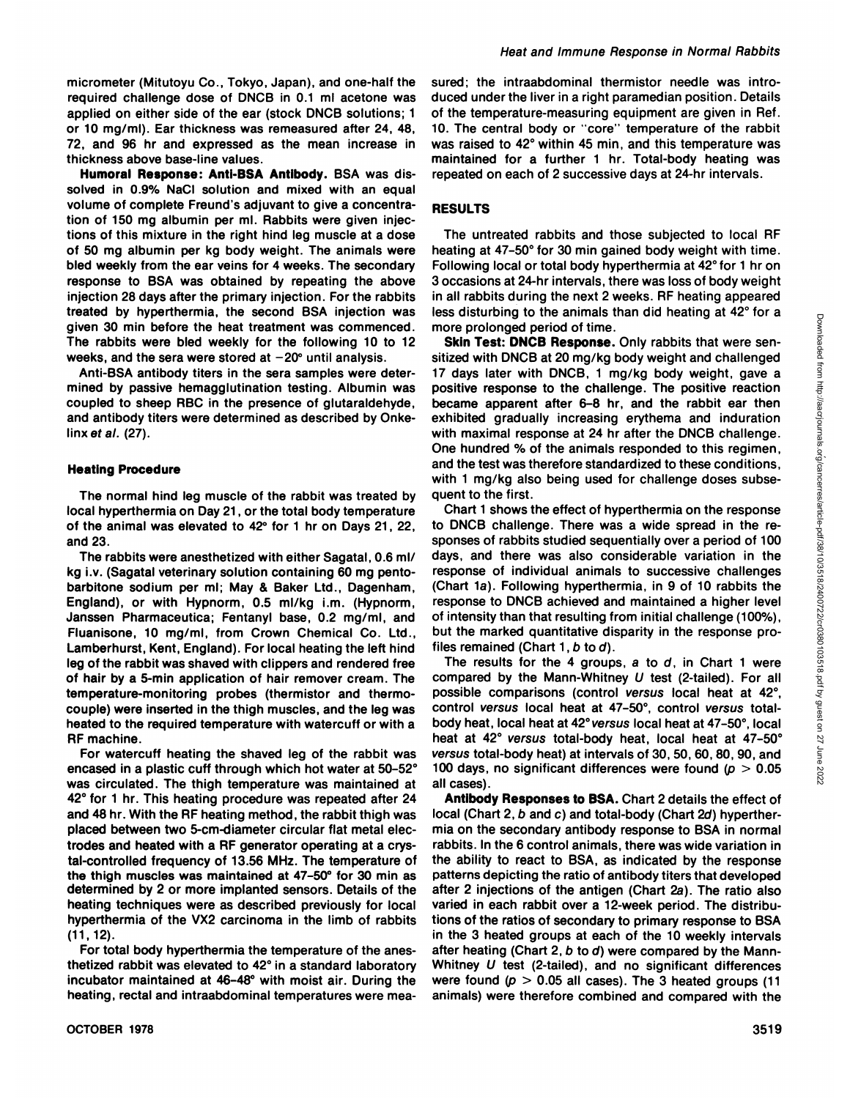micrometer (Mitutoyu Co., Tokyo, Japan), and one-half the required challenge dose of DNCB in 0.1 ml acetone was applied on either side of the ear (stock DNCB solutions; 1 or 10 mg/ml). Ear thickness was remeasured after 24, 48, 72, and 96 hr and expressed as the mean increase in thickness above base-line values.

**Humoral Response: Anti-BSA Antibody. BSA was dis** solved in 0.9% NaCI solution and mixed with an equal volume of complete Freund's adjuvant to give <sup>a</sup> concentra tion of 150 mg albumin per ml. Rabbits were given injec tions of this mixture in the right hind leg muscle at a dose of 50 mg albumin per kg body weight. The animals were bled weekly from the ear veins for 4 weeks. The secondary response to BSA was obtained by repeating the above injection 28 days after the primary injection. For the rabbits treated by hyperthermia, the second BSA injection was given 30 min before the heat treatment was commenced. The rabbits were bled weekly for the following 10 to 12 weeks, and the sera were stored at  $-20^\circ$  until analysis.

Anti-BSA antibody titers in the sera samples were deter mined by passive hemagglutination testing. Albumin was coupled to sheep RBC in the presence of glutaraldehyde, and antibody titers were determined as described by Onkelinx et al.  $(27)$ .

#### **Heating Procedure**

The normal hind leg muscle of the rabbit was treated by local hyperthermia on Day 21, or the total body temperature of the animal was elevated to 42° for 1 hr on Days 21, 22, and 23.

The rabbits were anesthetized with either Sagatal, 0.6 ml/ kg i.v. (Sagatal veterinary solution containing 60 mg pentobarbitone sodium per ml; May & Baker Ltd., Dagenham, England), or with Hypnorm, 0.5 ml/kg i.m. (Hypnorm, Janssen Pharmaceutica; Fentanyl base, 0.2 mg/ml, and Fluanisone, 10 mg/ml, from Crown Chemical Co. Ltd., Lamberhurst, Kent, England). For local heating the left hind leg of the rabbit was shaved with clippers and rendered free of hair by a 5-min application of hair remover cream. The temperature-monitoring probes (thermistor and thermo couple) were inserted in the thigh muscles, and the leg was heated to the required temperature with watercuff or with a RF machine.

For watercuff heating the shaved leg of the rabbit was encased in a plastic cuff through which hot water at 50-52° was circulated. The thigh temperature was maintained at 42° for 1 hr. This heating procedure was repeated after 24 and 48 hr. With the RF heating method, the rabbit thigh was placed between two 5-cm-diameter circular flat metal elec trodes and heated with a RF generator operating at a crys tal-controlled frequency of 13.56 MHz. The temperature of the thigh muscles was maintained at 47-50° for 30 min as determined by 2 or more implanted sensors. Details of the heating techniques were as described previously for local hyperthermia of the VX2 carcinoma in the limb of rabbits (11,12).

For total body hyperthermia the temperature of the anesthetized rabbit was elevated to 42°in a standard laboratory incubator maintained at 46-48° with moist air. During the heating, rectal and intraabdominal temperatures were mea sured; the intraabdominal thermistor needle was intro duced under the liver in a right paramedian position. Details of the temperature-measuring equipment are given in Ref. 10. The central body or 'core" temperature of the rabbit was raised to 42°within 45 min, and this temperature was maintained for a further 1 hr. Total-body heating was repeated on each of 2 successive days at 24-hr intervals.

#### **RESULTS**

The untreated rabbits and those subjected to local RF heating at 47-50° for 30 min gained body weight with time. Following local or total body hyperthermia at 42° for 1 hr on 3 occasions at 24-hr intervals, there was loss of body weight in all rabbits during the next 2 weeks. RF heating appeared more prolonged period of time.

less disturbing to the animals than did heating at 42° for a<br>
more prolonged period of time.<br>
Skin Test: DNCB at 20 mg/kg body weight and challenged<br>
sitted with DNCB at 20 mg/kg body weight, are sen-<br>
sitted with DNCB at **Skin Test: DNCB Response. Only rabbits that were sen** sitized with DNCB at 20 mg/kg body weight and challenged 17 days later with DNCB, 1 mg/kg body weight, gave a positive response to the challenge. The positive reaction became apparent after 6-8 hr, and the rabbit ear then exhibited gradually increasing erythema and induration with maximal response at 24 hr after the DNCB challenge. One hundred % of the animals responded to this regimen, and the testwas therefore standardized to these conditions, with 1 mg/kg also being used for challenge doses subsequent to the first.

Chart 1 shows the effect of hyperthermia on the response to DNCB challenge. There was a wide spread in the re sponses of rabbits studied sequentially over a period of 100 days, and there was also considerable variation in the response of individual animals to successive challenges (Chart 1a). Following hyperthermia, in 9 of 10 rabbits the response to DNCB achieved and maintained a higher level of intensity than that resulting from initial challenge (100%), but the marked quantitative disparity in the response pro files remained (Chart  $1, b$  to  $d$ ).

The results for the 4 groups,  $a$  to  $d$ , in Chart 1 were compared by the Mann-Whitney  $U$  test (2-tailed). For all possible comparisons (control versus local heat at 42°, control versus local heat at 47-50°, control versus totalbody heat, local heat at 42°versus local heat at 47-50°, local heat at 42° versus total-body heat, local heat at 47-50° versus total-body heat) at intervals of 30, 50, 60, 80, 90, and 100 days, no significant differences were found ( $p > 0.05$ all cases).

**Antibody Responses to BSA. Chart 2 details the effect of** local (Chart 2, b and c) and total-body (Chart 2d) hyperther mia on the secondary antibody response to BSA in normal rabbits. In the 6 control animals, there was wide variation in the ability to react to BSA, as indicated by the response patterns depicting the ratio of antibody titers that developed after 2 injections of the antigen (Chart 2a). The ratio also varied in each rabbit over a 12-week period. The distribu tions of the ratios of secondary to primary response to BSA in the 3 heated groups at each of the 10 weekly intervals after heating (Chart 2,  $b$  to  $d$ ) were compared by the Mann-Whitney U test (2-tailed), and no significant differences were found  $(p > 0.05$  all cases). The 3 heated groups (11 animals) were therefore combined and compared with the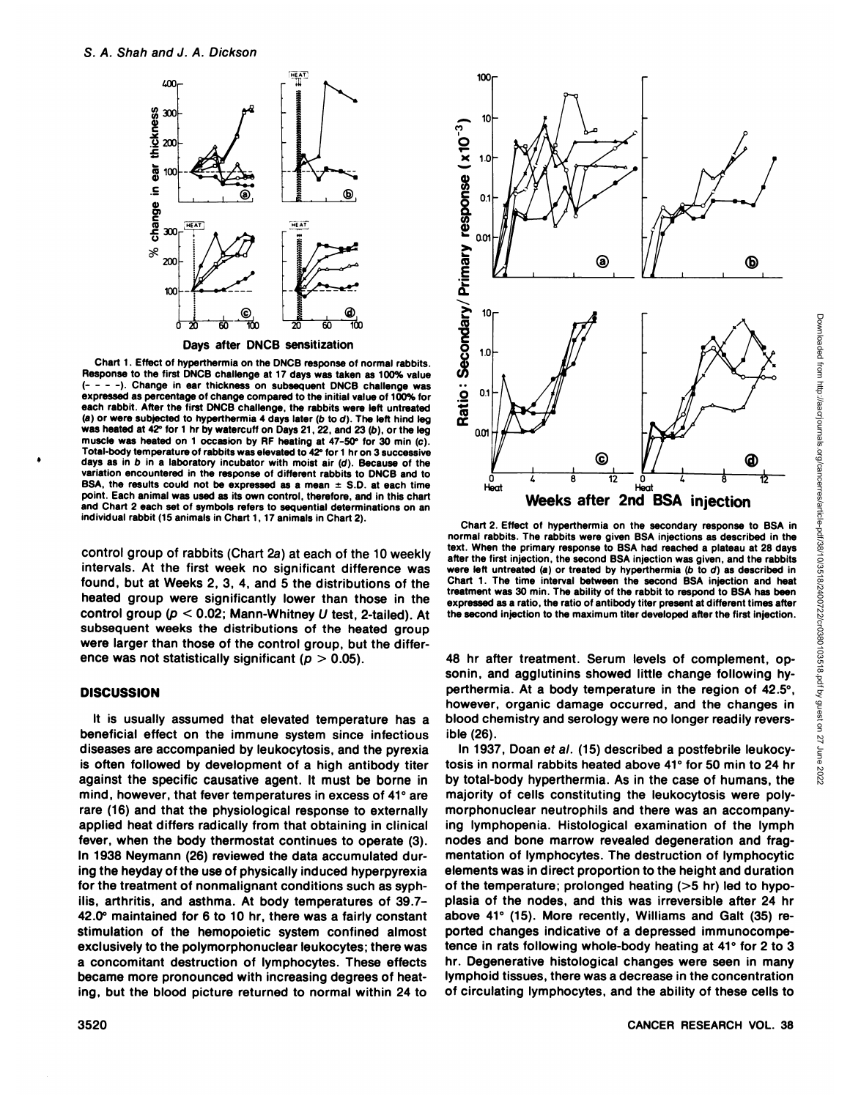

Chart 1. Effect of hyperthermia on the DNCB response of normal rabbits.  $- - -$ ). Change in ear thickness on subsequent DNCB challenge was expressed as percentage of change compared to the initial value of 100% for  $\overline{Q}$  0.1 each rabbit. After the first DNCB challenge, the rabbits were left untreated (a) or were subjected to hyperthermia 4 days later (b to d). The left hind leg was heated at 42° for 1 hr by watercuff on Days 21, 22, and 23 (b), or the leg  $0$ muscle was heated on 1 occasion by RF heating at 47-50° for 30 min (c). Total-body temperature of rabbits was elevated to 42°for 1 hr on 3 successive days as in b in a laboratory incubator with moist air  $(d)$ . Because of the variation encountered in the response of different rabbits to DNCB and to BSA, the results could not be expressed as a mean  $\pm$  S.D. at each time point. Each animal was used as its own control, therefore, and in this chart and Chart 2 each set of symbols refers to sequential determinations on an individual rabbit (15 animals in Chart 1,17 animals in Chart 2).

control group of rabbits (Chart 2a) at each of the 10 weekly intervals. At the first week no significant difference was found, but at Weeks 2, 3, 4, and 5 the distributions of the heated group were significantly lower than those in the control group ( $p < 0.02$ ; Mann-Whitney U test, 2-tailed). At subsequent weeks the distributions of the heated group were larger than those of the control group, but the differ ence was not statistically significant ( $p > 0.05$ ).

# **DISCUSSION**

It is usually assumed that elevated temperature has a beneficial effect on the immune system since infectious diseases are accompanied by leukocytosis, and the pyrexia is often followed by development of a high antibody titer against the specific causative agent. It must be borne in mind, however, that fever temperatures in excess of 41° are rare (16) and that the physiological response to externally applied heat differs radically from that obtaining in clinical fever, when the body thermostat continues to operate (3). In 1938 Neymann (26) reviewed the data accumulated dur ing the heyday of the use of physically induced hyperpyrexia for the treatment of nonmalignant conditions such as syph ilis, arthritis, and asthma. At body temperatures of 39.7- 42.0° maintained for 6 to 10 hr, there was a fairly constant stimulation of the hemopoietic system confined almost exclusively to the polymorphonuclear leukocytes; there was a concomitant destruction of lymphocytes. These effects became more pronounced with increasing degrees of heat ing, but the blood picture returned to normal within 24 to



normal rabbits. The rabbits were given BSA injections as described in the text. When the primary response to BSA had reached a plateau at 28 days after the first injection, the second BSA injection was given, and the rabbits were left untreated (a) or treated by hyperthermia (b to  $d$ ) as described in Chart 1. The time interval between the second BSA injection and heat treatment was 30 min. The ability of the rabbit to respond to BSA has been expressed as a ratio, the ratio of antibody titer present at different times after the second injection to the maximum titer developed after the first injection.

48 hr after treatment. Serum levels of complement, opsonin, and agglutinins showed little change following hyperthermia. At a body temperature in the region of  $42.5^\circ$ , however, organic damage occurred, and the changes in blood chemistry and serology were no longer readily revers ible (26).

In 1937, Doan ef al. (15) described a postfebrile leukocy tosis in normal rabbits heated above 41° for 50 min to 24 hr  $\frac{3}{8}$ <br>by total-body hyperthermia. As in the case of humans, the by total-body hyperthermia. As in the case of humans, the majority of cells constituting the leukocytosis were polymorphonuclear neutrophils and there was an accompany ing lymphopenia. Histological examination of the lymph nodes and bone marrow revealed degeneration and frag mentation of lymphocytes. The destruction of lymphocytic elements was in direct proportion to the height and duration of the temperature; prolonged heating (>5 hr) led to hypoplasia of the nodes, and this was irreversible after 24 hr above 41° (15). More recently, Williams and Galt (35) reported changes indicative of a depressed immunocompetence in rats following whole-body heating at 41° for 2 to 3 hr. Degenerative histological changes were seen in many lymphoid tissues, there was a decrease in the concentration of circulating lymphocytes, and the ability of these cells to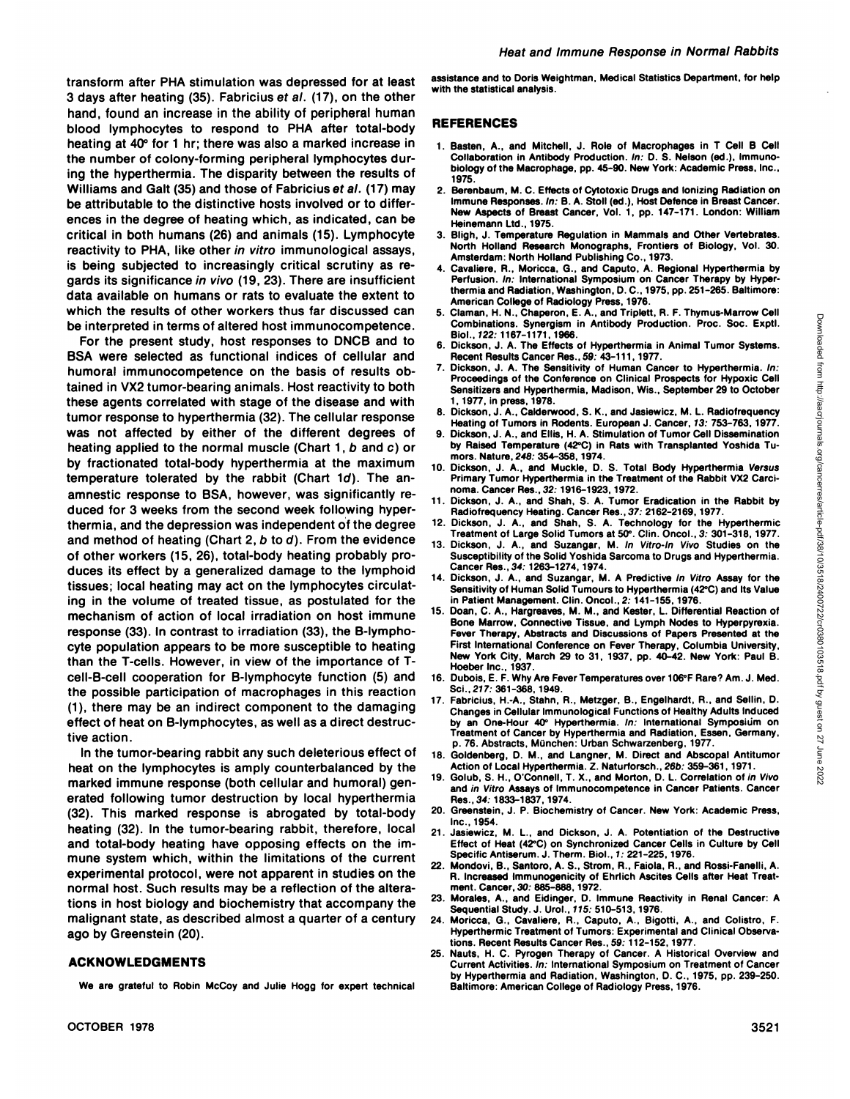transform after PHA stimulation was depressed for at least 3 days after heating (35). Fabricius ef al. (17), on the other hand, found an increase in the ability of peripheral human blood lymphocytes to respond to PHA after total-body heating at 40° for 1 hr; there was also a marked increase in the number of colony-forming peripheral lymphocytes dur ing the hyperthermia. The disparity between the results of Williams and Galt (35) and those of Fabricius et al. (17) may be attributable to the distinctive hosts involved or to differ ences in the degree of heating which, as indicated, can be critical in both humans (26) and animals (15). Lymphocyte reactivity to PHA, like other in vitro immunological assays, is being subjected to increasingly critical scrutiny as re gards its significance in vivo (19, 23). There are insufficient data available on humans or rats to evaluate the extent to which the results of other workers thus far discussed can be interpreted in terms of altered host immunocompetence.

For the present study, host responses to DNCB and to BSA were selected as functional indices of cellular and Recent Results Cancer Res., 59: 43-111, 1977. humoral immunocompetence on the basis of results ob tained in VX2 tumor-bearing animals. Host reactivity to both these agents correlated with stage of the disease and with tumor response to hyperthermia (32). The cellular response<br>Heating of Tumors in Rodents. European J. Cancer, 13: 753-763, 1977. was not affected by either of the different degrees of heating applied to the normal muscle (Chart 1, b and c) or by fractionated total-body hyperthermia at the maximum temperature tolerated by the rabbit (Chart 1d). The anamnestic response to BSA, however, was significantly re-<br>
and State C at Turner duced for 3 weeks from the second week following hyper thermia, and the depression was independent of the degree 12. Dickson, J. A., and Shah, S. A. Technology for the Hyperthermic<br>and mathed of beating (Chart 2, b to d). Erem the ovidence Treatment of Large Solid Tumors at 50 and method of heating (Chart 2, b to d). From the evidence of other workers (15, 26), total-body heating probably pro duces its effect by a generalized damage to the lymphoid Cancer Res., 34: 1263-1274, 1974 tissues; local heating may act on the lymphocytes circulating in the volume of treated tissue, as postulated for the mechanism of action of local irradiation on host immune response (33). In contrast to irradiation (33), the B-lymphocyte population appears to be more susceptible to heating than the T-cells. However, in view of the importance of Tcell-B-cell cooperation for B-lymphocyte function (5) and the possible participation of macrophages in this reaction (1), there may be an indirect component to the damaging effect of heat on B-lymphocytes, as well as a direct destruc tive action.

In the tumor-bearing rabbit any such deleterious effect of  $_{18}$ . heat on the lymphocytes is amply counterbalanced by the marked immune response (both cellular and humoral) gen erated following tumor destruction by local hyperthermia (32). This marked response is abrogated by total-body heating (32). In the tumor-bearing rabbit, therefore, local and total-body heating have opposing effects on the im mune system which, within the limitations of the current experimental protocol, were not apparent in studies on the normal host. Such results may be a reflection of the altera tions in host biology and biochemistry that accompany the malignant state, as described almost a quarter of a century ago by Greenstein (20).

# **ACKNOWLEDGMENTS**

We are grateful to Robin McCoy and Julie Hogg for expert technical

assistance and to Doris Weightman, Medical Statistics Department, for help with the statistical analysis.

# **REFERENCES**

- 1. Basten, A., and Mitchell, J. Role of Macrophages in T Cell B Cell Collaboration in Antibody Production. In: D. S. Nelson (ed.). Immunobiology of the Macrophage, pp. 45-90. New York: Academic Press, Inc., 1975.
- 2. Berenbaum, M. C. Effects of Cytotoxic Drugs and Ionizing Radiation on Immune Responses. In: B. A. Stoll (ed.), Host Defence in Breast Cancer. New Aspects of Breast Cancer, Vol. 1, pp. 147-171. London: William Heinemann Ltd., 1975.
- 3. Bligh, J. Temperature Regulation in Mammals and Other Vertebrates. North Holland Research Monographs, Frontiers of Biology, Vol. 30. Amsterdam: North Holland Publishing Co., 1973.
- 4. Cavaliere, R., Moricca, G., and Caputo, A. Regional Hyperthermia by Perfusion. In: International Symposium on Cancer Therapy by Hyperthermia and Radiation, Washington, D.C., 1975, pp. 251-265. Baltimore: American College of Radiology Press, 1976.
- 5. Claman, H. N., Chaperon, E. A., and Triplett, R. F. Thymus-Marrow Cell Combinations. Synergism in Antibody Production. Proc. Soc. Exptl.<br>Biol., 122: 1167-1171. 1966.
- Dickson, J. A. The Effects of Hyperthermia in Animal Tumor Systems.
- 7. Dickson, J. A. The Sensitivity of Human Cancer to Hyperthermia. In: Proceedings of the Conference on Clinical Prospects for Hypoxie Cell Sensitizers and Hyperthermia, Madison, Wis., September 29 to October 1, 1977, in press, 1978.
- 
- 9. Dickson, J. A., and Ellis, H. A. Stimulation of Tumor Cell Dissemination by Raised Temperature (42°C) in Rats with Transplanted Yoshida Tumors. Nature, 248: 354-358, 1974.
- 10. Dickson, J. A., and Muckle, D. S. Total Body Hyperthermia Versus Primary Tumor Hyperthermia in the Treatment of the Rabbit VX2 Carci-
- 11. Dickson, J. A., and Shah, S. A. Tumor Eradication in the Rabbit by Radiofrequency Heating. Cancer Res.,37: 2162-2169, 1977.
- Dickson, J. A., and Shah, S. A. Technology for the Hyperthermic
- 13. Dickson, J. A., and Suzangar, M. In Vitro-ln Vivo Studies on the Susceptibility of the Solid Yoshida Sarcoma to Drugs and Hyperthermia.
- 14. Dickson, J. A., and Suzangar, M. A Predictive In Vitro Assay for the Sensitivity of Human Solid Tumours to Hyperthermia (42°C) and Its Value in Patient Management. Clin. Oncol., 2. 141-155, 1976.
- S. California, California, California, California, T. Hymnesometrical, T. A., and Hymnesometrical Caleros, A. A., The Section of Tumors in Animal Tumor Systems.<br>
7. Dickson, J. A., The Section Hyperthermia in Animal Tumor 15. Doan, C. A., Hargreaves, M. M.. and Kester. L. Differential Reaction of Bone Marrow, Connective Tissue, and Lymph Nodes to Hyperpyrexia. Fever Therapy, Abstracts and Discussions of Papers Presented at the First International Conference on Fever Therapy, Columbia University, New York City, March 29 to 31, 1937, pp. 40-42. New York: Paul B. Hoeber Inc., 1937.
- 16. Dubois, E. F. Why Are Fever Temperatures over 106°F Rare? Am. J. Med. Sci., 217: 361-368, 1949.
- 17. Fabricius, H.-A., Stahn, R., Metzger, B., Engelhardt, R., and Sellin, D. Changes in Cellular Immunological Functions of Healthy Adults Induced by an One-Hour 40° Hyperthermia. In: International Symposium on Treatment of Cancer by Hyperthermia and Radiation, Essen, Germany, p. 76. Abstracts, München: Urban Schwarzenberg, 1977
- Goldenberg, D. M., and Langner, M. Direct and Abscopal Antitumor Action of Local Hyperthermia. Z. Naturforsch., 26b: 359-361, 1971.
- 19. Golub, S. H., O'Connell, T. X., and Morton, D. L. Correlation of in Vivo and in Vitro Assays of Immunocompetence in Cancer Patients. Cancer Res.,34. 1833-1837, 1974.
- 20. Greenstein, J. P. Biochemistry of Cancer. New York: Academic Press, Inc.. 1954.
- 21. Jasiewicz, M. L., and Dickson, J. A. Potentiation of the Destructive Effect of Heat (42°C) on Synchronized Cancer Cells in Culture by Cell Specific Antiserum. J. Therm. Biol., 1: 221-225, 1976.
- 22. Mondovi, B.. Santero, A. S., Strom, R., Paiola, R., and Rossi-Fanelli, A. R. Increased Immunogenicity of Ehrlich Ascites Cells after Heat Treat ment. Cancer, 30. 885-888. 1972.
- 23. Morales, A., and Eidinger, D. Immune Reactivity in Renal Cancer: A Sequential Study. J. Urol., 115: 510-513, 1976.
- 24. Moricca, G.. Cavaliere, R., Caputo. A.. Bigotti, A., and Colistro. F. Hyperthermic Treatment of Tumors: Experimental and Clinical Observa tions. Recent Results Cancer Res., 59. 112-152, 1977.
- 25. Nauts, H. C. Pyrogen Therapy of Cancer. A Historical Overview and Current Activities. In: International Symposium on Treatment of Cancer by Hyperthermia and Radiation, Washington, D. C., 1975, pp. 239-250. Baltimore: American College of Radiology Press, 1976.